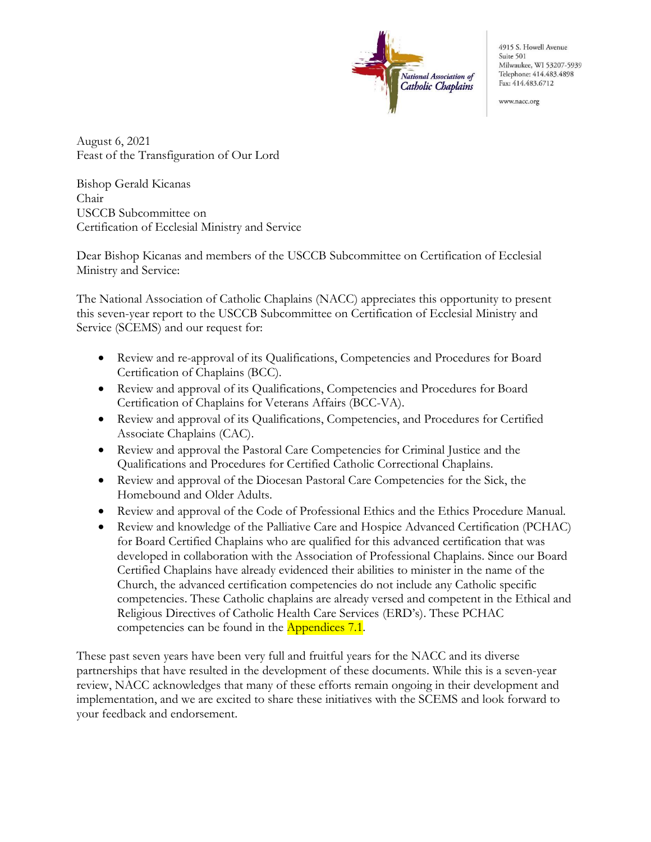

4915 S. Howell Avenue Suite 501 Milwaukee, WI 53207-5939 Telephone: 414.483.4898 Fax: 414.483.6712

www.nacc.org

August 6, 2021 Feast of the Transfiguration of Our Lord

Bishop Gerald Kicanas Chair USCCB Subcommittee on Certification of Ecclesial Ministry and Service

Dear Bishop Kicanas and members of the USCCB Subcommittee on Certification of Ecclesial Ministry and Service:

The National Association of Catholic Chaplains (NACC) appreciates this opportunity to present this seven-year report to the USCCB Subcommittee on Certification of Ecclesial Ministry and Service (SCEMS) and our request for:

- Review and re-approval of its Qualifications, Competencies and Procedures for Board Certification of Chaplains (BCC).
- Review and approval of its Qualifications, Competencies and Procedures for Board Certification of Chaplains for Veterans Affairs (BCC-VA).
- Review and approval of its Qualifications, Competencies, and Procedures for Certified Associate Chaplains (CAC).
- Review and approval the Pastoral Care Competencies for Criminal Justice and the Qualifications and Procedures for Certified Catholic Correctional Chaplains.
- Review and approval of the Diocesan Pastoral Care Competencies for the Sick, the Homebound and Older Adults.
- Review and approval of the Code of Professional Ethics and the Ethics Procedure Manual.
- Review and knowledge of the Palliative Care and Hospice Advanced Certification (PCHAC) for Board Certified Chaplains who are qualified for this advanced certification that was developed in collaboration with the Association of Professional Chaplains. Since our Board Certified Chaplains have already evidenced their abilities to minister in the name of the Church, the advanced certification competencies do not include any Catholic specific competencies. These Catholic chaplains are already versed and competent in the Ethical and Religious Directives of Catholic Health Care Services (ERD's). These PCHAC competencies can be found in the Appendices 7.1.

These past seven years have been very full and fruitful years for the NACC and its diverse partnerships that have resulted in the development of these documents. While this is a seven-year review, NACC acknowledges that many of these efforts remain ongoing in their development and implementation, and we are excited to share these initiatives with the SCEMS and look forward to your feedback and endorsement.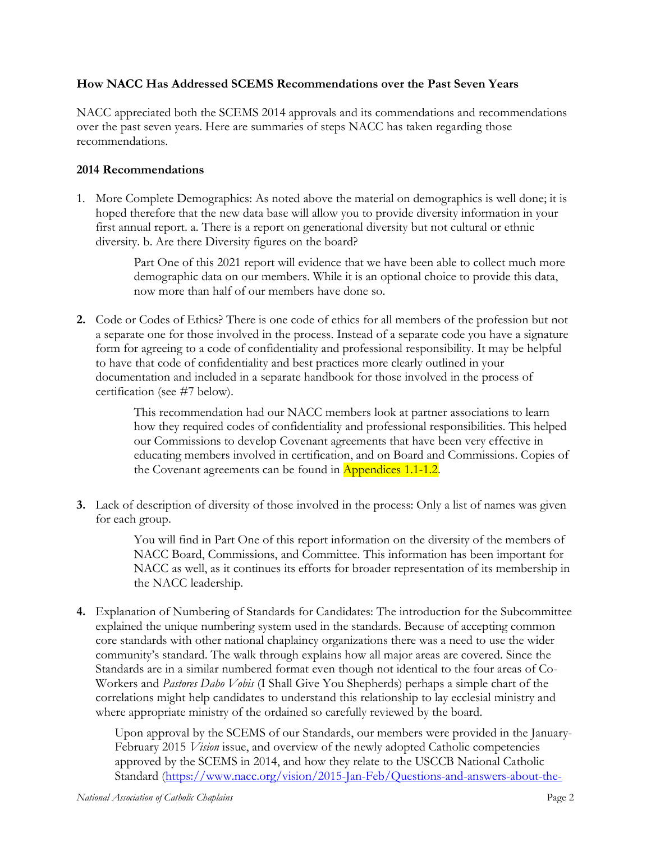## How NACC Has Addressed SCEMS Recommendations over the Past Seven Years

NACC appreciated both the SCEMS 2014 approvals and its commendations and recommendations over the past seven years. Here are summaries of steps NACC has taken regarding those recommendations.

## 2014 Recommendations

1. More Complete Demographics: As noted above the material on demographics is well done; it is hoped therefore that the new data base will allow you to provide diversity information in your first annual report. a. There is a report on generational diversity but not cultural or ethnic diversity. b. Are there Diversity figures on the board?

> Part One of this 2021 report will evidence that we have been able to collect much more demographic data on our members. While it is an optional choice to provide this data, now more than half of our members have done so.

2. Code or Codes of Ethics? There is one code of ethics for all members of the profession but not a separate one for those involved in the process. Instead of a separate code you have a signature form for agreeing to a code of confidentiality and professional responsibility. It may be helpful to have that code of confidentiality and best practices more clearly outlined in your documentation and included in a separate handbook for those involved in the process of certification (see #7 below).

> This recommendation had our NACC members look at partner associations to learn how they required codes of confidentiality and professional responsibilities. This helped our Commissions to develop Covenant agreements that have been very effective in educating members involved in certification, and on Board and Commissions. Copies of the Covenant agreements can be found in Appendices 1.1-1.2.

3. Lack of description of diversity of those involved in the process: Only a list of names was given for each group.

> You will find in Part One of this report information on the diversity of the members of NACC Board, Commissions, and Committee. This information has been important for NACC as well, as it continues its efforts for broader representation of its membership in the NACC leadership.

4. Explanation of Numbering of Standards for Candidates: The introduction for the Subcommittee explained the unique numbering system used in the standards. Because of accepting common core standards with other national chaplaincy organizations there was a need to use the wider community's standard. The walk through explains how all major areas are covered. Since the Standards are in a similar numbered format even though not identical to the four areas of Co-Workers and Pastores Dabo Vobis (I Shall Give You Shepherds) perhaps a simple chart of the correlations might help candidates to understand this relationship to lay ecclesial ministry and where appropriate ministry of the ordained so carefully reviewed by the board.

Upon approval by the SCEMS of our Standards, our members were provided in the January-February 2015 *Vision* issue, and overview of the newly adopted Catholic competencies approved by the SCEMS in 2014, and how they relate to the USCCB National Catholic Standard (https://www.nacc.org/vision/2015-Jan-Feb/Questions-and-answers-about-the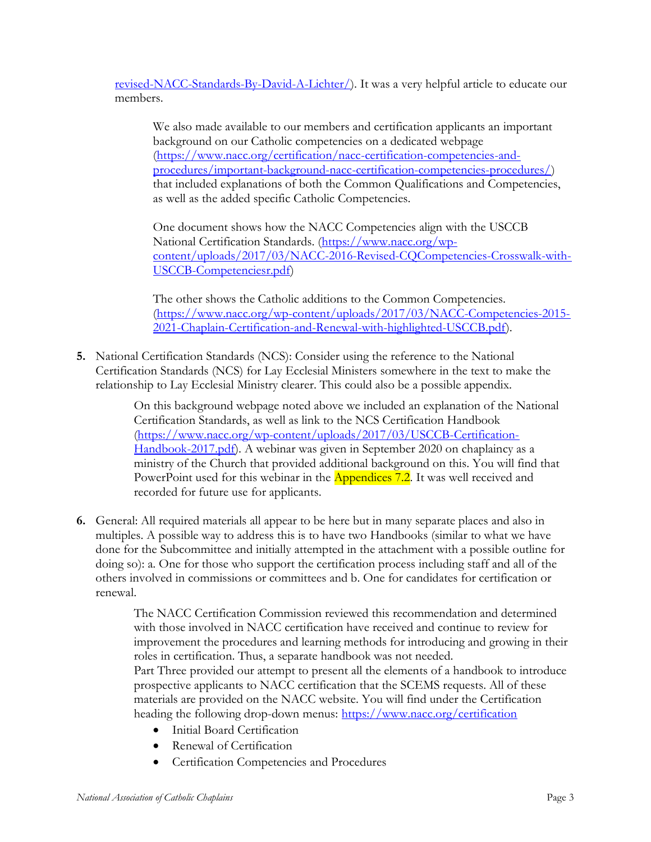revised-NACC-Standards-By-David-A-Lichter/). It was a very helpful article to educate our members.

We also made available to our members and certification applicants an important background on our Catholic competencies on a dedicated webpage (https://www.nacc.org/certification/nacc-certification-competencies-andprocedures/important-background-nacc-certification-competencies-procedures/) that included explanations of both the Common Qualifications and Competencies, as well as the added specific Catholic Competencies.

One document shows how the NACC Competencies align with the USCCB National Certification Standards. (https://www.nacc.org/wpcontent/uploads/2017/03/NACC-2016-Revised-CQCompetencies-Crosswalk-with-USCCB-Competenciesr.pdf)

The other shows the Catholic additions to the Common Competencies. (https://www.nacc.org/wp-content/uploads/2017/03/NACC-Competencies-2015- 2021-Chaplain-Certification-and-Renewal-with-highlighted-USCCB.pdf).

5. National Certification Standards (NCS): Consider using the reference to the National Certification Standards (NCS) for Lay Ecclesial Ministers somewhere in the text to make the relationship to Lay Ecclesial Ministry clearer. This could also be a possible appendix.

> On this background webpage noted above we included an explanation of the National Certification Standards, as well as link to the NCS Certification Handbook (https://www.nacc.org/wp-content/uploads/2017/03/USCCB-Certification-Handbook-2017.pdf). A webinar was given in September 2020 on chaplaincy as a ministry of the Church that provided additional background on this. You will find that PowerPoint used for this webinar in the **Appendices** 7.2. It was well received and recorded for future use for applicants.

6. General: All required materials all appear to be here but in many separate places and also in multiples. A possible way to address this is to have two Handbooks (similar to what we have done for the Subcommittee and initially attempted in the attachment with a possible outline for doing so): a. One for those who support the certification process including staff and all of the others involved in commissions or committees and b. One for candidates for certification or renewal.

> The NACC Certification Commission reviewed this recommendation and determined with those involved in NACC certification have received and continue to review for improvement the procedures and learning methods for introducing and growing in their roles in certification. Thus, a separate handbook was not needed.

> Part Three provided our attempt to present all the elements of a handbook to introduce prospective applicants to NACC certification that the SCEMS requests. All of these materials are provided on the NACC website. You will find under the Certification heading the following drop-down menus: https://www.nacc.org/certification

- Initial Board Certification
- Renewal of Certification
- Certification Competencies and Procedures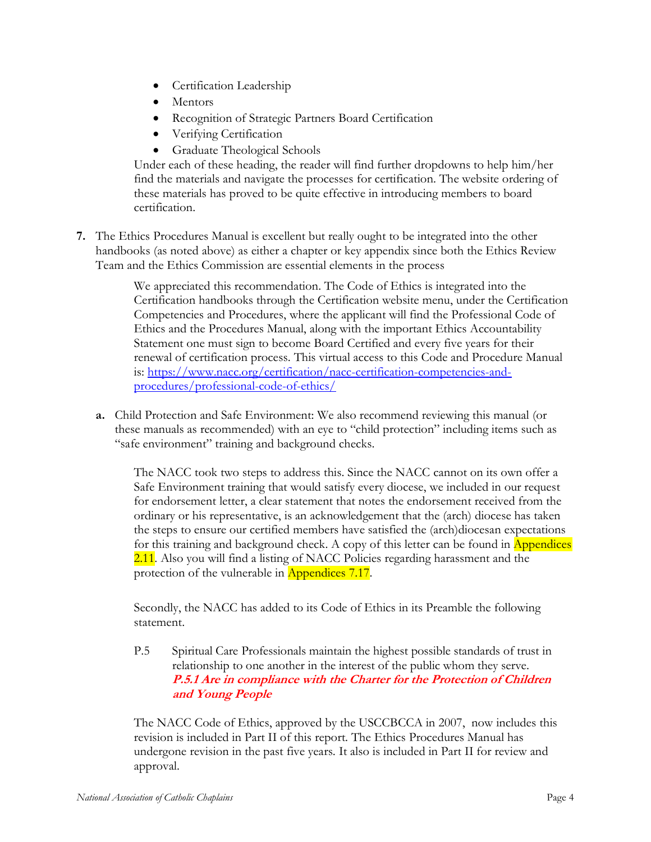- Certification Leadership
- Mentors
- Recognition of Strategic Partners Board Certification
- Verifying Certification
- Graduate Theological Schools

Under each of these heading, the reader will find further dropdowns to help him/her find the materials and navigate the processes for certification. The website ordering of these materials has proved to be quite effective in introducing members to board certification.

7. The Ethics Procedures Manual is excellent but really ought to be integrated into the other handbooks (as noted above) as either a chapter or key appendix since both the Ethics Review Team and the Ethics Commission are essential elements in the process

> We appreciated this recommendation. The Code of Ethics is integrated into the Certification handbooks through the Certification website menu, under the Certification Competencies and Procedures, where the applicant will find the Professional Code of Ethics and the Procedures Manual, along with the important Ethics Accountability Statement one must sign to become Board Certified and every five years for their renewal of certification process. This virtual access to this Code and Procedure Manual is: https://www.nacc.org/certification/nacc-certification-competencies-andprocedures/professional-code-of-ethics/

a. Child Protection and Safe Environment: We also recommend reviewing this manual (or these manuals as recommended) with an eye to "child protection" including items such as "safe environment" training and background checks.

The NACC took two steps to address this. Since the NACC cannot on its own offer a Safe Environment training that would satisfy every diocese, we included in our request for endorsement letter, a clear statement that notes the endorsement received from the ordinary or his representative, is an acknowledgement that the (arch) diocese has taken the steps to ensure our certified members have satisfied the (arch)diocesan expectations for this training and background check. A copy of this letter can be found in **Appendices** 2.11. Also you will find a listing of NACC Policies regarding harassment and the protection of the vulnerable in Appendices 7.17.

Secondly, the NACC has added to its Code of Ethics in its Preamble the following statement.

P.5 Spiritual Care Professionals maintain the highest possible standards of trust in relationship to one another in the interest of the public whom they serve. P.5.1 Are in compliance with the Charter for the Protection of Children and Young People

The NACC Code of Ethics, approved by the USCCBCCA in 2007, now includes this revision is included in Part II of this report. The Ethics Procedures Manual has undergone revision in the past five years. It also is included in Part II for review and approval.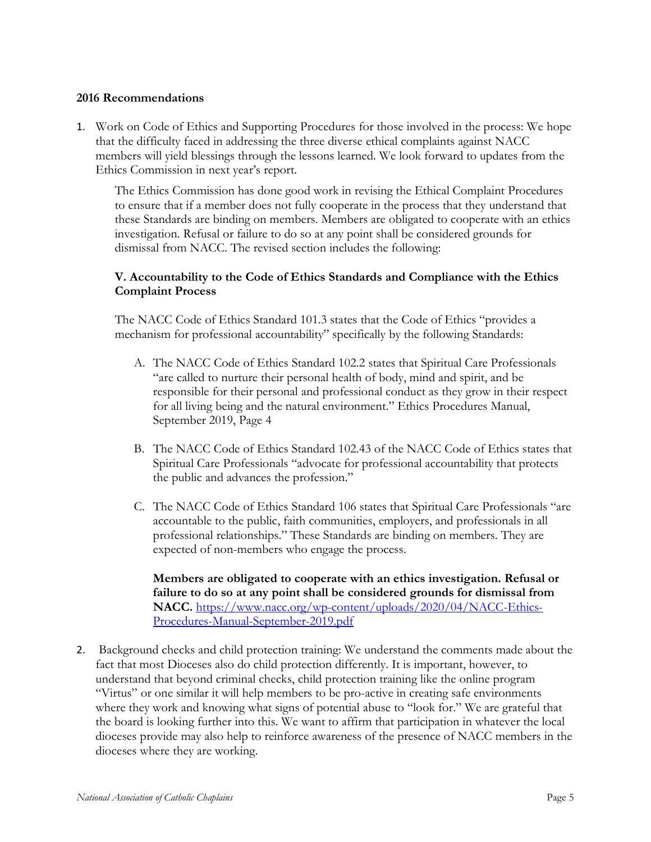#### 2016 Recommendations

1. Work on Code of Ethics and Supporting Procedures for those involved in the process: We hope that the difficulty faced in addressing the three diverse ethical complaints against NACC members will yield blessings through the lessons learned. We look forward to updates from the Ethics Commission in next year's report.

The Ethics Commission has done good work in revising the Ethical Complaint Procedures to ensure that if a member does not fully cooperate in the process that they understand that these Standards are binding on members. Members are obligated to cooperate with an ethics investigation. Refusal or failure to do so at any point shall be considered grounds for dismissal from NACC. The revised section includes the following:

## V. Accountability to the Code of Ethics Standards and Compliance with the Ethics Complaint Process

The NACC Code of Ethics Standard 101.3 states that the Code of Ethics "provides a mechanism for professional accountability" specifically by the following Standards:

- A. The NACC Code of Ethics Standard 102.2 states that Spiritual Care Professionals "are called to nurture their personal health of body, mind and spirit, and be responsible for their personal and professional conduct as they grow in their respect for all living being and the natural environment." Ethics Procedures Manual, September 2019, Page 4
- B. The NACC Code of Ethics Standard 102.43 of the NACC Code of Ethics states that Spiritual Care Professionals "advocate for professional accountability that protects the public and advances the profession."
- C. The NACC Code of Ethics Standard 106 states that Spiritual Care Professionals "are accountable to the public, faith communities, employers, and professionals in all professional relationships." These Standards are binding on members. They are expected of non-members who engage the process.

Members are obligated to cooperate with an ethics investigation. Refusal or failure to do so at any point shall be considered grounds for dismissal from NACC. https://www.nacc.org/wp-content/uploads/2020/04/NACC-Ethics-Procedures-Manual-September-2019.pdf

2. Background checks and child protection training: We understand the comments made about the fact that most Dioceses also do child protection differently. It is important, however, to understand that beyond criminal checks, child protection training like the online program "Virtus" or one similar it will help members to be pro-active in creating safe environments where they work and knowing what signs of potential abuse to "look for." We are grateful that the board is looking further into this. We want to affirm that participation in whatever the local dioceses provide may also help to reinforce awareness of the presence of NACC members in the dioceses where they are working.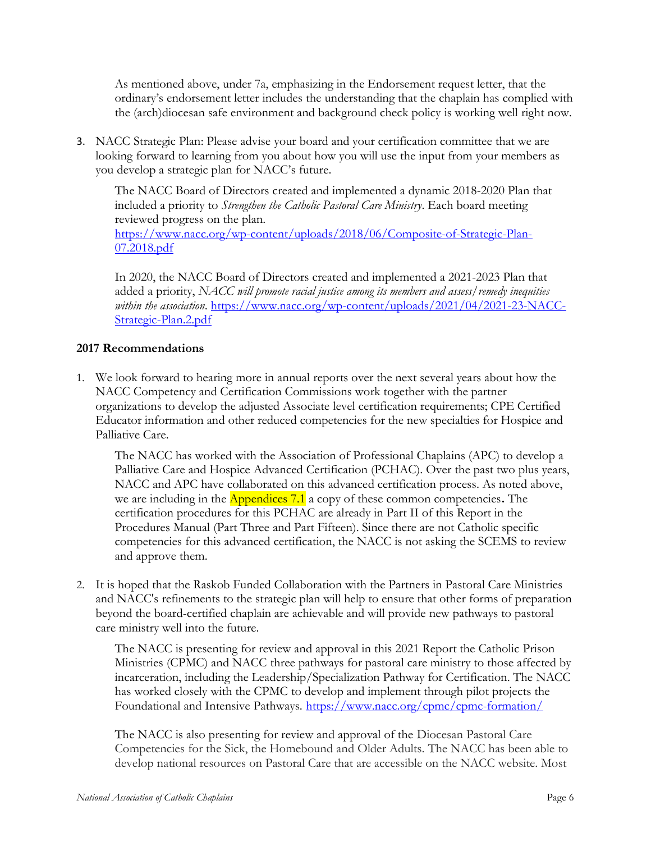As mentioned above, under 7a, emphasizing in the Endorsement request letter, that the ordinary's endorsement letter includes the understanding that the chaplain has complied with the (arch)diocesan safe environment and background check policy is working well right now.

3. NACC Strategic Plan: Please advise your board and your certification committee that we are looking forward to learning from you about how you will use the input from your members as you develop a strategic plan for NACC's future.

The NACC Board of Directors created and implemented a dynamic 2018-2020 Plan that included a priority to Strengthen the Catholic Pastoral Care Ministry. Each board meeting reviewed progress on the plan.

https://www.nacc.org/wp-content/uploads/2018/06/Composite-of-Strategic-Plan-07.2018.pdf

In 2020, the NACC Board of Directors created and implemented a 2021-2023 Plan that added a priority, NACC will promote racial justice among its members and assess/remedy inequities within the association. https://www.nacc.org/wp-content/uploads/2021/04/2021-23-NACC-Strategic-Plan.2.pdf

## 2017 Recommendations

1. We look forward to hearing more in annual reports over the next several years about how the NACC Competency and Certification Commissions work together with the partner organizations to develop the adjusted Associate level certification requirements; CPE Certified Educator information and other reduced competencies for the new specialties for Hospice and Palliative Care.

The NACC has worked with the Association of Professional Chaplains (APC) to develop a Palliative Care and Hospice Advanced Certification (PCHAC). Over the past two plus years, NACC and APC have collaborated on this advanced certification process. As noted above, we are including in the **Appendices 7.1** a copy of these common competencies. The certification procedures for this PCHAC are already in Part II of this Report in the Procedures Manual (Part Three and Part Fifteen). Since there are not Catholic specific competencies for this advanced certification, the NACC is not asking the SCEMS to review and approve them.

2. It is hoped that the Raskob Funded Collaboration with the Partners in Pastoral Care Ministries and NACC's refinements to the strategic plan will help to ensure that other forms of preparation beyond the board-certified chaplain are achievable and will provide new pathways to pastoral care ministry well into the future.

The NACC is presenting for review and approval in this 2021 Report the Catholic Prison Ministries (CPMC) and NACC three pathways for pastoral care ministry to those affected by incarceration, including the Leadership/Specialization Pathway for Certification. The NACC has worked closely with the CPMC to develop and implement through pilot projects the Foundational and Intensive Pathways. https://www.nacc.org/cpmc/cpmc-formation/

The NACC is also presenting for review and approval of the Diocesan Pastoral Care Competencies for the Sick, the Homebound and Older Adults. The NACC has been able to develop national resources on Pastoral Care that are accessible on the NACC website. Most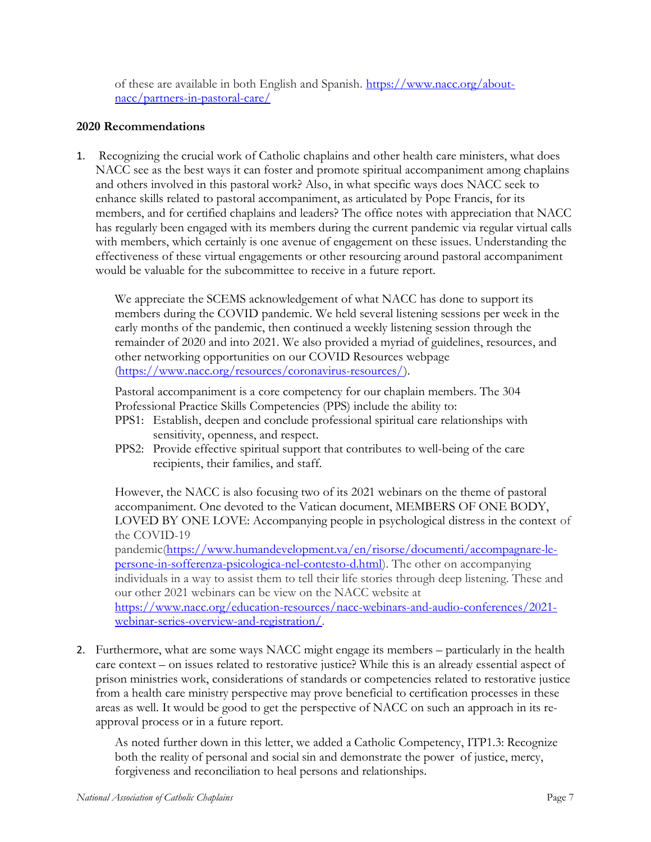of these are available in both English and Spanish. https://www.nacc.org/aboutnacc/partners-in-pastoral-care/

## 2020 Recommendations

1. Recognizing the crucial work of Catholic chaplains and other health care ministers, what does NACC see as the best ways it can foster and promote spiritual accompaniment among chaplains and others involved in this pastoral work? Also, in what specific ways does NACC seek to enhance skills related to pastoral accompaniment, as articulated by Pope Francis, for its members, and for certified chaplains and leaders? The office notes with appreciation that NACC has regularly been engaged with its members during the current pandemic via regular virtual calls with members, which certainly is one avenue of engagement on these issues. Understanding the effectiveness of these virtual engagements or other resourcing around pastoral accompaniment would be valuable for the subcommittee to receive in a future report.

We appreciate the SCEMS acknowledgement of what NACC has done to support its members during the COVID pandemic. We held several listening sessions per week in the early months of the pandemic, then continued a weekly listening session through the remainder of 2020 and into 2021. We also provided a myriad of guidelines, resources, and other networking opportunities on our COVID Resources webpage (https://www.nacc.org/resources/coronavirus-resources/).

Pastoral accompaniment is a core competency for our chaplain members. The 304 Professional Practice Skills Competencies (PPS) include the ability to:

- PPS1: Establish, deepen and conclude professional spiritual care relationships with sensitivity, openness, and respect.
- PPS2: Provide effective spiritual support that contributes to well-being of the care recipients, their families, and staff.

However, the NACC is also focusing two of its 2021 webinars on the theme of pastoral accompaniment. One devoted to the Vatican document, MEMBERS OF ONE BODY, LOVED BY ONE LOVE: Accompanying people in psychological distress in the context of the COVID-19

pandemic(https://www.humandevelopment.va/en/risorse/documenti/accompagnare-lepersone-in-sofferenza-psicologica-nel-contesto-d.html). The other on accompanying individuals in a way to assist them to tell their life stories through deep listening. These and our other 2021 webinars can be view on the NACC website at https://www.nacc.org/education-resources/nacc-webinars-and-audio-conferences/2021-

webinar-series-overview-and-registration/.

2. Furthermore, what are some ways NACC might engage its members – particularly in the health care context – on issues related to restorative justice? While this is an already essential aspect of prison ministries work, considerations of standards or competencies related to restorative justice from a health care ministry perspective may prove beneficial to certification processes in these areas as well. It would be good to get the perspective of NACC on such an approach in its reapproval process or in a future report.

As noted further down in this letter, we added a Catholic Competency, ITP1.3: Recognize both the reality of personal and social sin and demonstrate the power of justice, mercy, forgiveness and reconciliation to heal persons and relationships.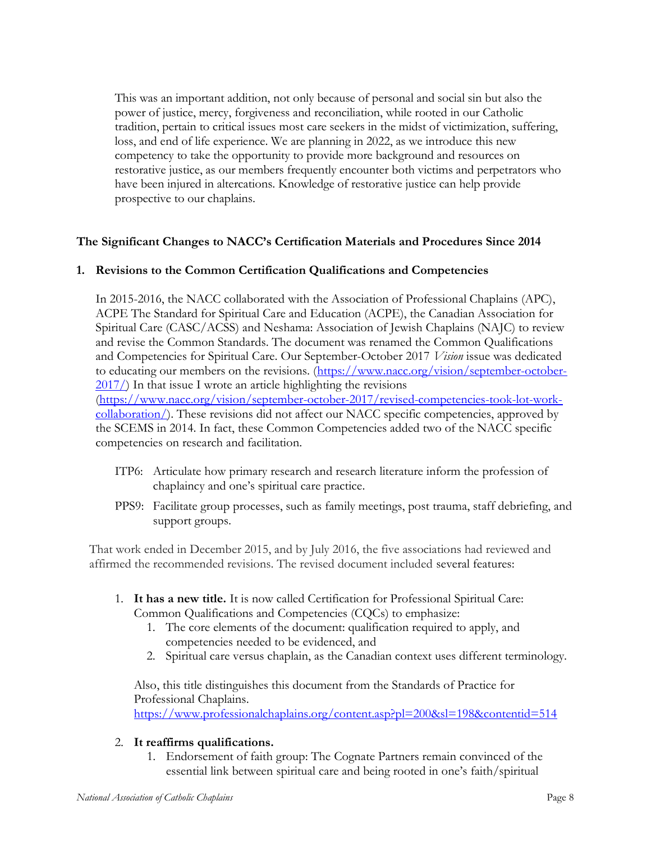This was an important addition, not only because of personal and social sin but also the power of justice, mercy, forgiveness and reconciliation, while rooted in our Catholic tradition, pertain to critical issues most care seekers in the midst of victimization, suffering, loss, and end of life experience. We are planning in 2022, as we introduce this new competency to take the opportunity to provide more background and resources on restorative justice, as our members frequently encounter both victims and perpetrators who have been injured in altercations. Knowledge of restorative justice can help provide prospective to our chaplains.

## The Significant Changes to NACC's Certification Materials and Procedures Since 2014

#### 1. Revisions to the Common Certification Qualifications and Competencies

In 2015-2016, the NACC collaborated with the Association of Professional Chaplains (APC), ACPE The Standard for Spiritual Care and Education (ACPE), the Canadian Association for Spiritual Care (CASC/ACSS) and Neshama: Association of Jewish Chaplains (NAJC) to review and revise the Common Standards. The document was renamed the Common Qualifications and Competencies for Spiritual Care. Our September-October 2017 Vision issue was dedicated to educating our members on the revisions. (https://www.nacc.org/vision/september-october- $2017/$ ) In that issue I wrote an article highlighting the revisions (https://www.nacc.org/vision/september-october-2017/revised-competencies-took-lot-workcollaboration/). These revisions did not affect our NACC specific competencies, approved by the SCEMS in 2014. In fact, these Common Competencies added two of the NACC specific competencies on research and facilitation.

- ITP6: Articulate how primary research and research literature inform the profession of chaplaincy and one's spiritual care practice.
- PPS9: Facilitate group processes, such as family meetings, post trauma, staff debriefing, and support groups.

That work ended in December 2015, and by July 2016, the five associations had reviewed and affirmed the recommended revisions. The revised document included several features:

- 1. It has a new title. It is now called Certification for Professional Spiritual Care: Common Qualifications and Competencies (CQCs) to emphasize:
	- 1. The core elements of the document: qualification required to apply, and competencies needed to be evidenced, and
	- 2. Spiritual care versus chaplain, as the Canadian context uses different terminology.

Also, this title distinguishes this document from the Standards of Practice for Professional Chaplains. https://www.professionalchaplains.org/content.asp?pl=200&sl=198&contentid=514

#### 2. It reaffirms qualifications.

1. Endorsement of faith group: The Cognate Partners remain convinced of the essential link between spiritual care and being rooted in one's faith/spiritual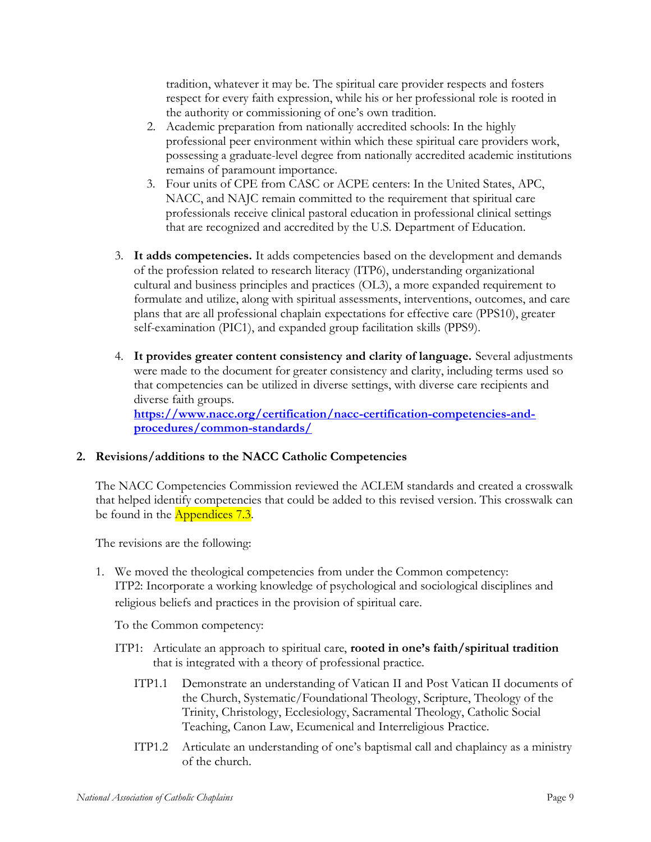tradition, whatever it may be. The spiritual care provider respects and fosters respect for every faith expression, while his or her professional role is rooted in the authority or commissioning of one's own tradition.

- 2. Academic preparation from nationally accredited schools: In the highly professional peer environment within which these spiritual care providers work, possessing a graduate-level degree from nationally accredited academic institutions remains of paramount importance.
- 3. Four units of CPE from CASC or ACPE centers: In the United States, APC, NACC, and NAJC remain committed to the requirement that spiritual care professionals receive clinical pastoral education in professional clinical settings that are recognized and accredited by the U.S. Department of Education.
- 3. It adds competencies. It adds competencies based on the development and demands of the profession related to research literacy (ITP6), understanding organizational cultural and business principles and practices (OL3), a more expanded requirement to formulate and utilize, along with spiritual assessments, interventions, outcomes, and care plans that are all professional chaplain expectations for effective care (PPS10), greater self-examination (PIC1), and expanded group facilitation skills (PPS9).
- 4. It provides greater content consistency and clarity of language. Several adjustments were made to the document for greater consistency and clarity, including terms used so that competencies can be utilized in diverse settings, with diverse care recipients and diverse faith groups. https://www.nacc.org/certification/nacc-certification-competencies-and-

procedures/common-standards/

## 2. Revisions/additions to the NACC Catholic Competencies

The NACC Competencies Commission reviewed the ACLEM standards and created a crosswalk that helped identify competencies that could be added to this revised version. This crosswalk can be found in the Appendices 7.3.

The revisions are the following:

1. We moved the theological competencies from under the Common competency: ITP2: Incorporate a working knowledge of psychological and sociological disciplines and religious beliefs and practices in the provision of spiritual care.

To the Common competency:

- ITP1: Articulate an approach to spiritual care, rooted in one's faith/spiritual tradition that is integrated with a theory of professional practice.
	- ITP1.1 Demonstrate an understanding of Vatican II and Post Vatican II documents of the Church, Systematic/Foundational Theology, Scripture, Theology of the Trinity, Christology, Ecclesiology, Sacramental Theology, Catholic Social Teaching, Canon Law, Ecumenical and Interreligious Practice.
	- ITP1.2 Articulate an understanding of one's baptismal call and chaplaincy as a ministry of the church.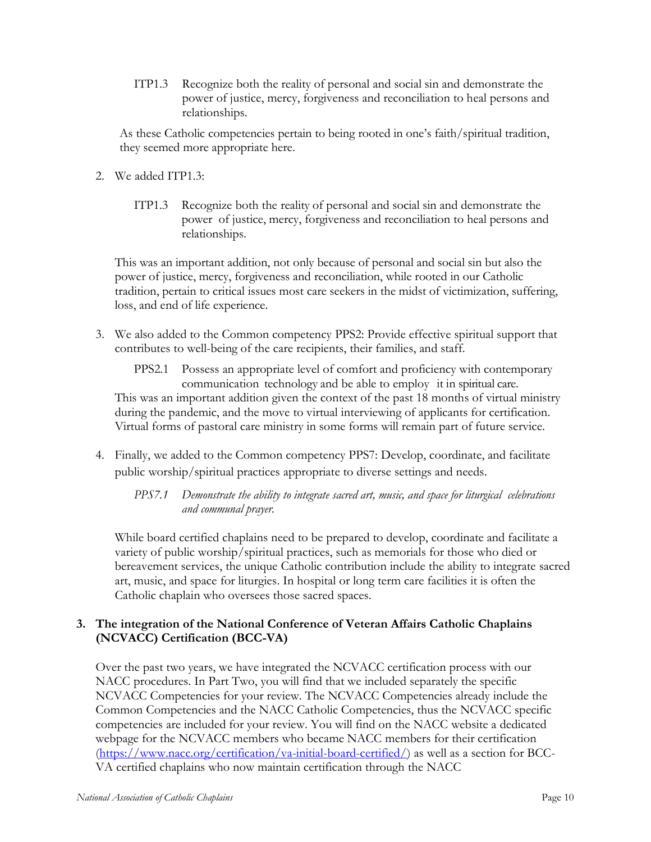ITP1.3 Recognize both the reality of personal and social sin and demonstrate the power of justice, mercy, forgiveness and reconciliation to heal persons and relationships.

As these Catholic competencies pertain to being rooted in one's faith/spiritual tradition, they seemed more appropriate here.

- 2. We added ITP1.3:
	- ITP1.3 Recognize both the reality of personal and social sin and demonstrate the power of justice, mercy, forgiveness and reconciliation to heal persons and relationships.

This was an important addition, not only because of personal and social sin but also the power of justice, mercy, forgiveness and reconciliation, while rooted in our Catholic tradition, pertain to critical issues most care seekers in the midst of victimization, suffering, loss, and end of life experience.

3. We also added to the Common competency PPS2: Provide effective spiritual support that contributes to well-being of the care recipients, their families, and staff.

PPS2.1 Possess an appropriate level of comfort and proficiency with contemporary communication technology and be able to employ it in spiritual care. This was an important addition given the context of the past 18 months of virtual ministry during the pandemic, and the move to virtual interviewing of applicants for certification. Virtual forms of pastoral care ministry in some forms will remain part of future service.

4. Finally, we added to the Common competency PPS7: Develop, coordinate, and facilitate public worship/spiritual practices appropriate to diverse settings and needs.

PPS7.1 Demonstrate the ability to integrate sacred art, music, and space for liturgical celebrations and communal prayer.

While board certified chaplains need to be prepared to develop, coordinate and facilitate a variety of public worship/spiritual practices, such as memorials for those who died or bereavement services, the unique Catholic contribution include the ability to integrate sacred art, music, and space for liturgies. In hospital or long term care facilities it is often the Catholic chaplain who oversees those sacred spaces.

# 3. The integration of the National Conference of Veteran Affairs Catholic Chaplains (NCVACC) Certification (BCC-VA)

Over the past two years, we have integrated the NCVACC certification process with our NACC procedures. In Part Two, you will find that we included separately the specific NCVACC Competencies for your review. The NCVACC Competencies already include the Common Competencies and the NACC Catholic Competencies, thus the NCVACC specific competencies are included for your review. You will find on the NACC website a dedicated webpage for the NCVACC members who became NACC members for their certification (https://www.nacc.org/certification/va-initial-board-certified/) as well as a section for BCC-VA certified chaplains who now maintain certification through the NACC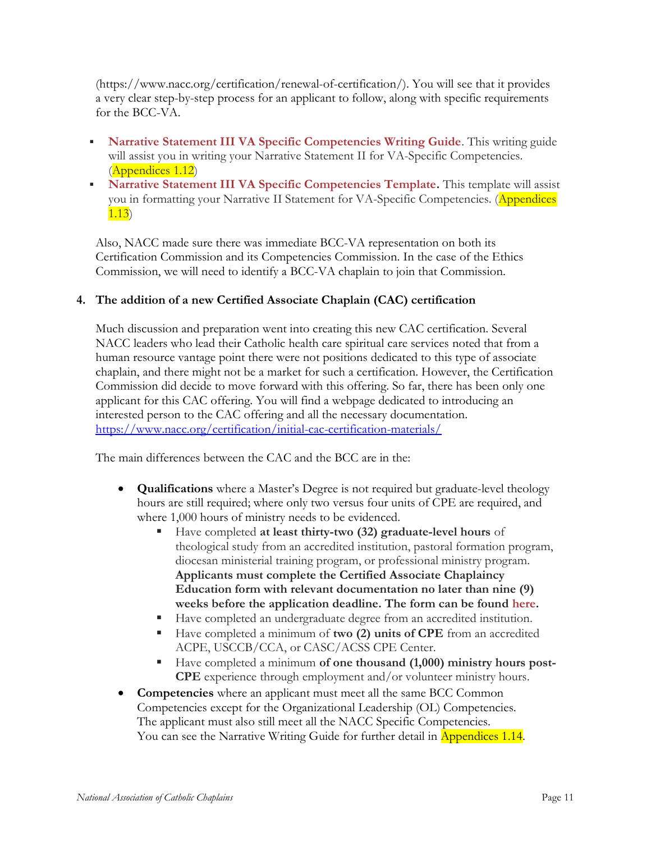(https://www.nacc.org/certification/renewal-of-certification/). You will see that it provides a very clear step-by-step process for an applicant to follow, along with specific requirements for the BCC-VA.

- Narrative Statement III VA Specific Competencies Writing Guide. This writing guide will assist you in writing your Narrative Statement II for VA-Specific Competencies. (Appendices 1.12)
- Narrative Statement III VA Specific Competencies Template. This template will assist you in formatting your Narrative II Statement for VA-Specific Competencies. (Appendices 1.13)

Also, NACC made sure there was immediate BCC-VA representation on both its Certification Commission and its Competencies Commission. In the case of the Ethics Commission, we will need to identify a BCC-VA chaplain to join that Commission.

## 4. The addition of a new Certified Associate Chaplain (CAC) certification

Much discussion and preparation went into creating this new CAC certification. Several NACC leaders who lead their Catholic health care spiritual care services noted that from a human resource vantage point there were not positions dedicated to this type of associate chaplain, and there might not be a market for such a certification. However, the Certification Commission did decide to move forward with this offering. So far, there has been only one applicant for this CAC offering. You will find a webpage dedicated to introducing an interested person to the CAC offering and all the necessary documentation. https://www.nacc.org/certification/initial-cac-certification-materials/

The main differences between the CAC and the BCC are in the:

- Qualifications where a Master's Degree is not required but graduate-level theology hours are still required; where only two versus four units of CPE are required, and where 1,000 hours of ministry needs to be evidenced.
	- Have completed at least thirty-two (32) graduate-level hours of theological study from an accredited institution, pastoral formation program, diocesan ministerial training program, or professional ministry program. Applicants must complete the Certified Associate Chaplaincy Education form with relevant documentation no later than nine (9) weeks before the application deadline. The form can be found here.
	- Have completed an undergraduate degree from an accredited institution.
	- Have completed a minimum of two (2) units of CPE from an accredited ACPE, USCCB/CCA, or CASC/ACSS CPE Center.
	- Have completed a minimum of one thousand (1,000) ministry hours post-CPE experience through employment and/or volunteer ministry hours.
- Competencies where an applicant must meet all the same BCC Common Competencies except for the Organizational Leadership (OL) Competencies. The applicant must also still meet all the NACC Specific Competencies. You can see the Narrative Writing Guide for further detail in Appendices 1.14.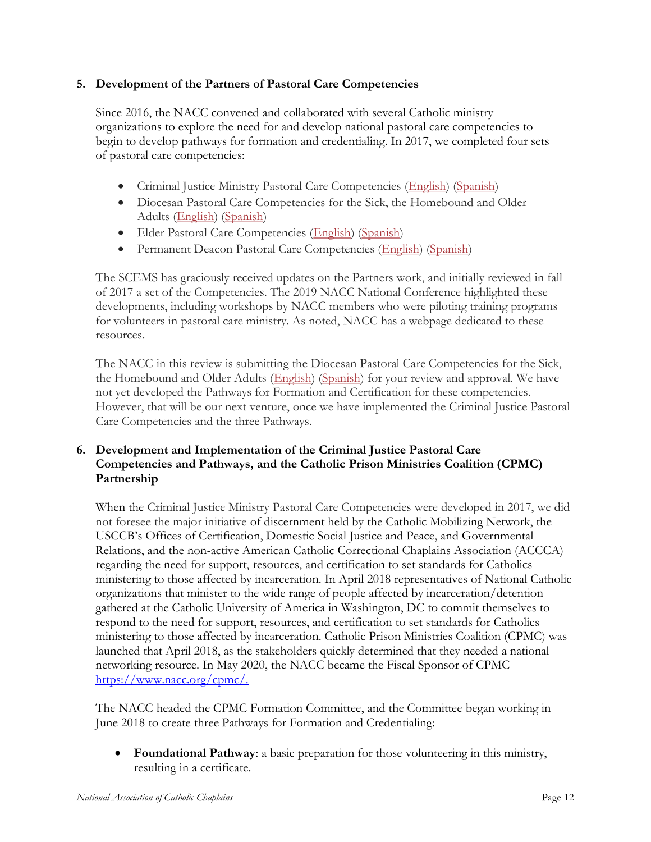## 5. Development of the Partners of Pastoral Care Competencies

Since 2016, the NACC convened and collaborated with several Catholic ministry organizations to explore the need for and develop national pastoral care competencies to begin to develop pathways for formation and credentialing. In 2017, we completed four sets of pastoral care competencies:

- Criminal Justice Ministry Pastoral Care Competencies (English) (Spanish)
- Diocesan Pastoral Care Competencies for the Sick, the Homebound and Older Adults (English) (Spanish)
- Elder Pastoral Care Competencies (English) (Spanish)
- Permanent Deacon Pastoral Care Competencies (English) (Spanish)

The SCEMS has graciously received updates on the Partners work, and initially reviewed in fall of 2017 a set of the Competencies. The 2019 NACC National Conference highlighted these developments, including workshops by NACC members who were piloting training programs for volunteers in pastoral care ministry. As noted, NACC has a webpage dedicated to these resources.

The NACC in this review is submitting the Diocesan Pastoral Care Competencies for the Sick, the Homebound and Older Adults (English) (Spanish) for your review and approval. We have not yet developed the Pathways for Formation and Certification for these competencies. However, that will be our next venture, once we have implemented the Criminal Justice Pastoral Care Competencies and the three Pathways.

## 6. Development and Implementation of the Criminal Justice Pastoral Care Competencies and Pathways, and the Catholic Prison Ministries Coalition (CPMC) Partnership

When the Criminal Justice Ministry Pastoral Care Competencies were developed in 2017, we did not foresee the major initiative of discernment held by the Catholic Mobilizing Network, the USCCB's Offices of Certification, Domestic Social Justice and Peace, and Governmental Relations, and the non-active American Catholic Correctional Chaplains Association (ACCCA) regarding the need for support, resources, and certification to set standards for Catholics ministering to those affected by incarceration. In April 2018 representatives of National Catholic organizations that minister to the wide range of people affected by incarceration/detention gathered at the Catholic University of America in Washington, DC to commit themselves to respond to the need for support, resources, and certification to set standards for Catholics ministering to those affected by incarceration. Catholic Prison Ministries Coalition (CPMC) was launched that April 2018, as the stakeholders quickly determined that they needed a national networking resource. In May 2020, the NACC became the Fiscal Sponsor of CPMC https://www.nacc.org/cpmc/.

The NACC headed the CPMC Formation Committee, and the Committee began working in June 2018 to create three Pathways for Formation and Credentialing:

 Foundational Pathway: a basic preparation for those volunteering in this ministry, resulting in a certificate.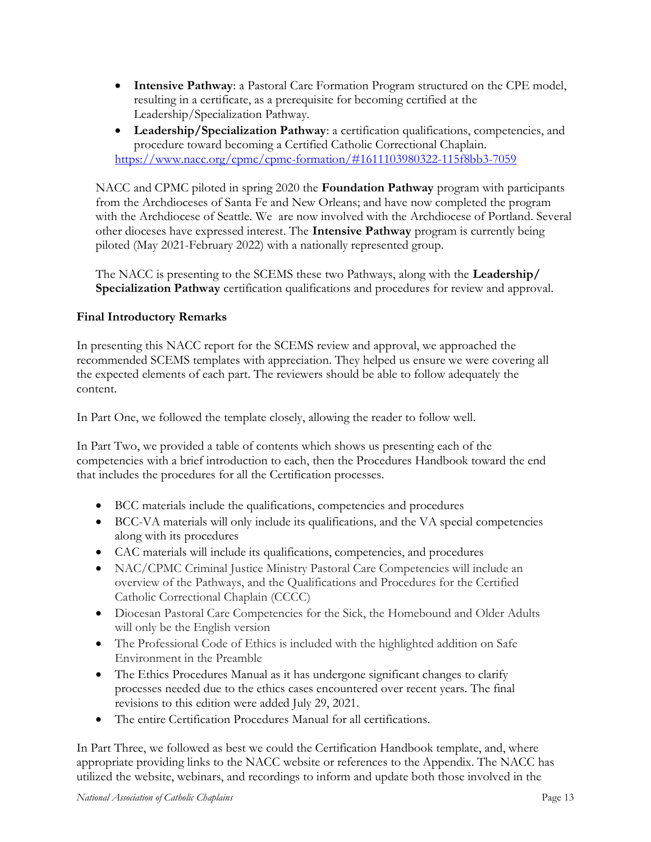- Intensive Pathway: a Pastoral Care Formation Program structured on the CPE model, resulting in a certificate, as a prerequisite for becoming certified at the Leadership/Specialization Pathway.
- Leadership/Specialization Pathway: a certification qualifications, competencies, and procedure toward becoming a Certified Catholic Correctional Chaplain. https://www.nacc.org/cpmc/cpmc-formation/#1611103980322-115f8bb3-7059

NACC and CPMC piloted in spring 2020 the **Foundation Pathway** program with participants from the Archdioceses of Santa Fe and New Orleans; and have now completed the program with the Archdiocese of Seattle. We are now involved with the Archdiocese of Portland. Several other dioceses have expressed interest. The Intensive Pathway program is currently being piloted (May 2021-February 2022) with a nationally represented group.

The NACC is presenting to the SCEMS these two Pathways, along with the **Leadership**/ Specialization Pathway certification qualifications and procedures for review and approval.

# Final Introductory Remarks

In presenting this NACC report for the SCEMS review and approval, we approached the recommended SCEMS templates with appreciation. They helped us ensure we were covering all the expected elements of each part. The reviewers should be able to follow adequately the content.

In Part One, we followed the template closely, allowing the reader to follow well.

In Part Two, we provided a table of contents which shows us presenting each of the competencies with a brief introduction to each, then the Procedures Handbook toward the end that includes the procedures for all the Certification processes.

- BCC materials include the qualifications, competencies and procedures
- BCC-VA materials will only include its qualifications, and the VA special competencies along with its procedures
- CAC materials will include its qualifications, competencies, and procedures
- NAC/CPMC Criminal Justice Ministry Pastoral Care Competencies will include an overview of the Pathways, and the Qualifications and Procedures for the Certified Catholic Correctional Chaplain (CCCC)
- Diocesan Pastoral Care Competencies for the Sick, the Homebound and Older Adults will only be the English version
- The Professional Code of Ethics is included with the highlighted addition on Safe Environment in the Preamble
- The Ethics Procedures Manual as it has undergone significant changes to clarify processes needed due to the ethics cases encountered over recent years. The final revisions to this edition were added July 29, 2021.
- The entire Certification Procedures Manual for all certifications.

In Part Three, we followed as best we could the Certification Handbook template, and, where appropriate providing links to the NACC website or references to the Appendix. The NACC has utilized the website, webinars, and recordings to inform and update both those involved in the